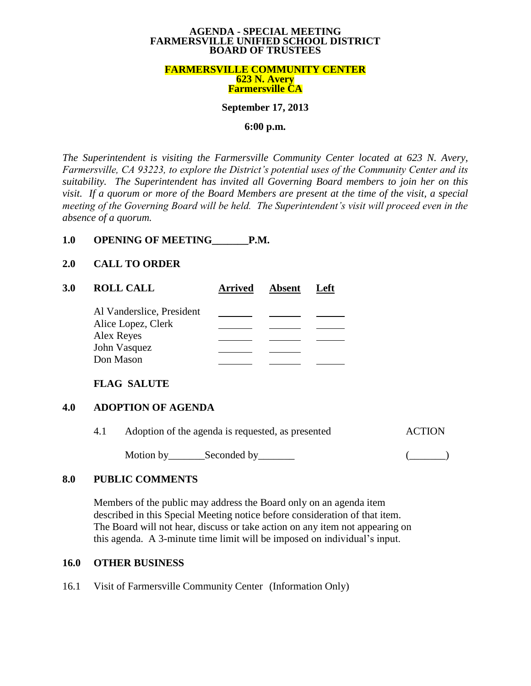#### **AGENDA - SPECIAL MEETING FARMERSVILLE UNIFIED SCHOOL DISTRICT BOARD OF TRUSTEES**

#### **FARMERSVILLE COMMUNITY CENTER 623 N. Avery Farmersville CA**

#### **September 17, 2013**

#### **6:00 p.m.**

*The Superintendent is visiting the Farmersville Community Center located at 623 N. Avery, Farmersville, CA 93223, to explore the District's potential uses of the Community Center and its suitability. The Superintendent has invited all Governing Board members to join her on this visit. If a quorum or more of the Board Members are present at the time of the visit, a special meeting of the Governing Board will be held. The Superintendent's visit will proceed even in the absence of a quorum.*

# **1.0 OPENING OF MEETING\_\_\_\_\_\_\_P.M.**

#### **2.0 CALL TO ORDER**

| 3.0 | <b>ROLL CALL</b>                 | <b>Arrived</b> | <b>Absent</b> | ∟eft |
|-----|----------------------------------|----------------|---------------|------|
|     | Al Vanderslice, President        |                |               |      |
|     | Alice Lopez, Clerk<br>Alex Reyes |                |               |      |
|     | John Vasquez                     |                |               |      |
|     | Don Mason                        |                |               |      |

## **FLAG SALUTE**

## **4.0 ADOPTION OF AGENDA**

| 4.1 | Adoption of the agenda is requested, as presented | <b>ACTION</b> |  |
|-----|---------------------------------------------------|---------------|--|
|     | Motion by                                         | Seconded by   |  |

## **8.0 PUBLIC COMMENTS**

Members of the public may address the Board only on an agenda item described in this Special Meeting notice before consideration of that item. The Board will not hear, discuss or take action on any item not appearing on this agenda. A 3-minute time limit will be imposed on individual's input.

## **16.0 OTHER BUSINESS**

16.1 Visit of Farmersville Community Center (Information Only)